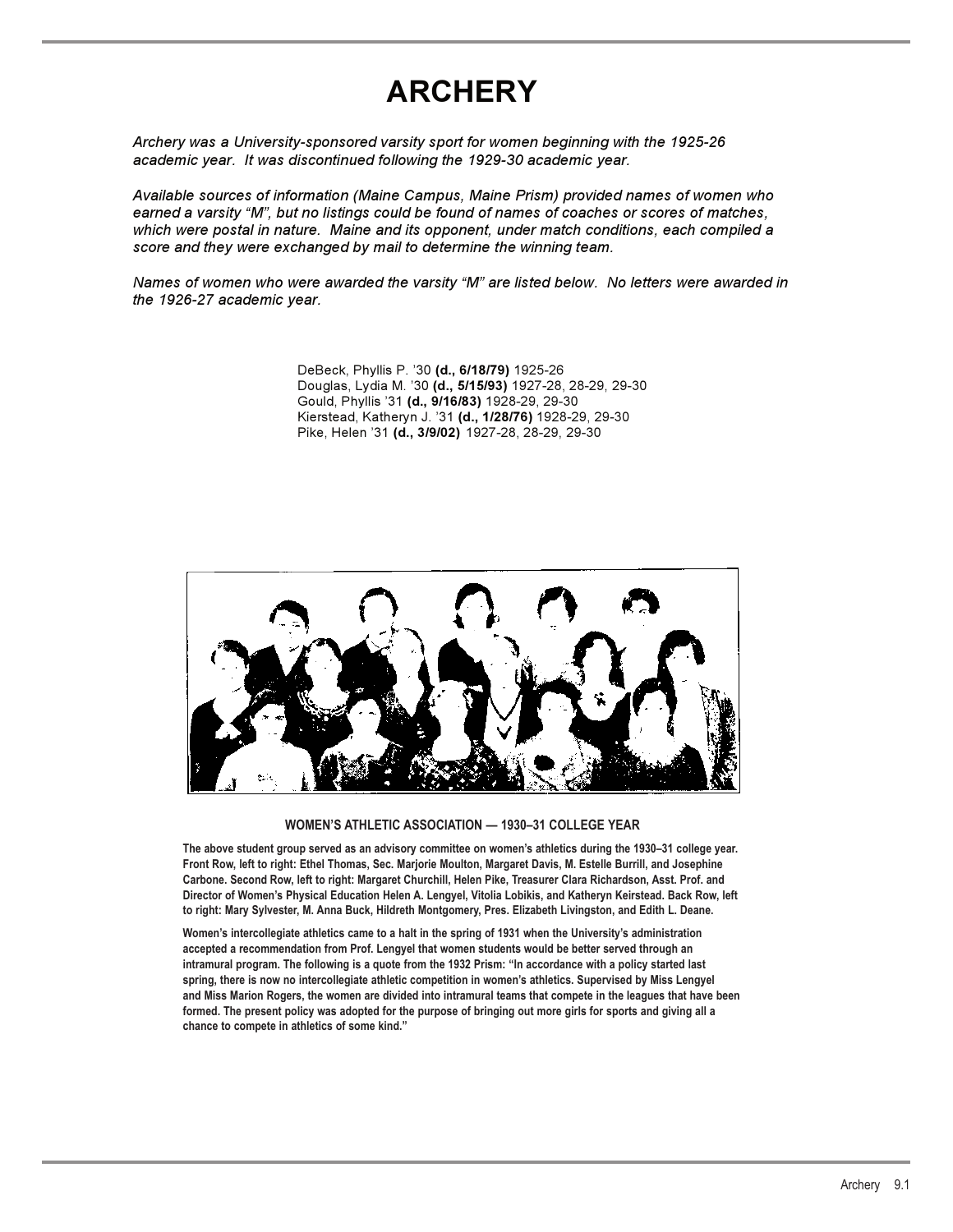### **ARCHERY**

*Archery was a University-sponsored varsity sport for women beginning with the 1925-26 academic year. It was discontinued following the 1929-30 academic year.*

*Available sources of information (Maine Campus, Maine Prism) provided names of women who earned a varsity "M", but no listings could be found of names of coaches or scores of matches, which were postal in nature. Maine and its opponent, under match conditions, each compiled a score and they were exchanged by mail to determine the winning team.*

*Names of women who were awarded the varsity "M" are listed below. No letters were awarded in the 1926-27 academic year.*

> DeBeck, Phyllis P. '30 **(d., 6/18/79)** 1925-26 Douglas, Lydia M. '30 **(d., 5/15/93)** 1927-28, 28-29, 29-30 Gould, Phyllis '31 **(d., 9/16/83)** 1928-29, 29-30 Kierstead, Katheryn J. '31 **(d., 1/28/76)** 1928-29, 29-30 Pike, Helen '31 **(d., 3/9/02)** 1927-28, 28-29, 29-30



#### **WOMEN'S ATHLETIC ASSOCIATION — 1930–31 COLLEGE YEAR**

**The above student group served as an advisory committee on women's athletics during the 1930–31 college year. Front Row, left to right: Ethel Thomas, Sec. Marjorie Moulton, Margaret Davis, M. Estelle Burrill, and Josephine Carbone. Second Row, left to right: Margaret Churchill, Helen Pike, Treasurer Clara Richardson, Asst. Prof. and Director of Women's Physical Education Helen A. Lengyel, Vitolia Lobikis, and Katheryn Keirstead. Back Row, left to right: Mary Sylvester, M. Anna Buck, Hildreth Montgomery, Pres. Elizabeth Livingston, and Edith L. Deane.**

**Women's intercollegiate athletics came to a halt in the spring of 1931 when the University's administration accepted a recommendation from Prof. Lengyel that women students would be better served through an intramural program. The following is a quote from the 1932 Prism: "In accordance with a policy started last spring, there is now no intercollegiate athletic competition in women's athletics. Supervised by Miss Lengyel and Miss Marion Rogers, the women are divided into intramural teams that compete in the leagues that have been formed. The present policy was adopted for the purpose of bringing out more girls for sports and giving all a chance to compete in athletics of some kind."**